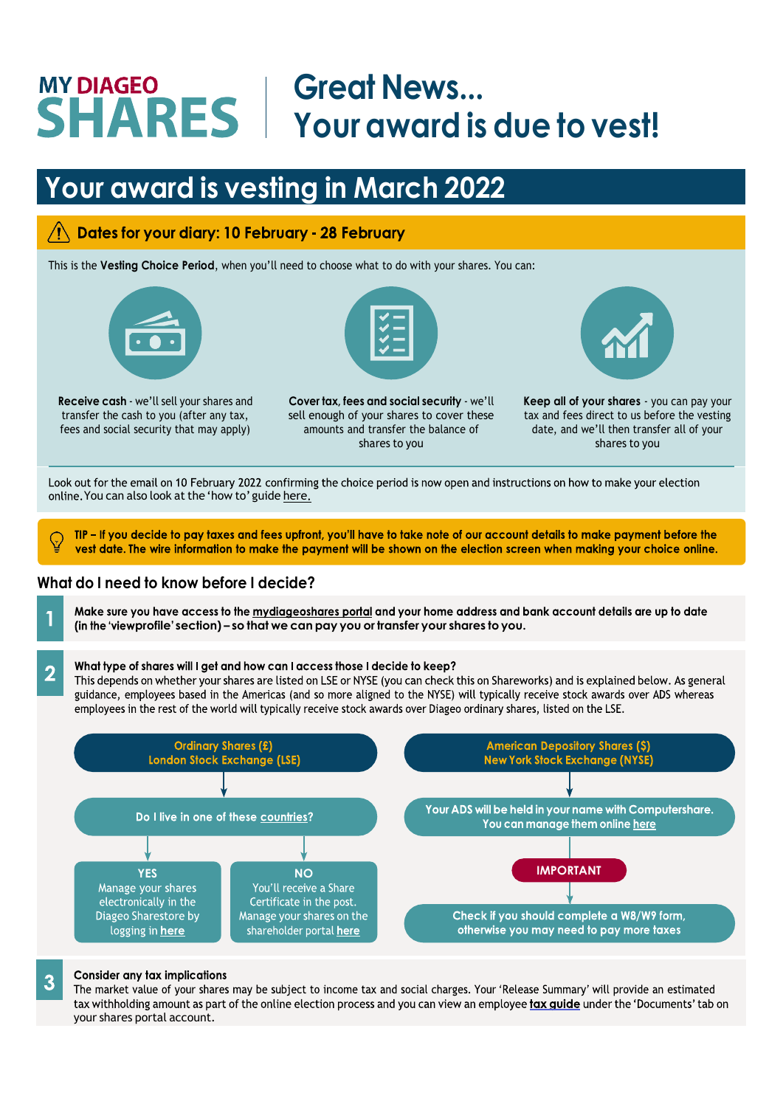# **Great News... Your award is due to vest!**

## **Your award is vesting in March 2022**

## Dates for your diary: 10 February - 28 February

This is the **Vesting Choice Period**, when you'll need to choose what to do with your shares. You can:



**Receive cash** - we'll sell your shares and transfer the cash to you (after any tax, fees and social security that may apply)



**Cover tax, fees and social security** - we'll sell enough of your shares to cover these amounts and transfer the balance of shares to you



**Keep all of your shares** - you can pay your tax and fees direct to us before the vesting date, and we'll then transfer all of your shares to you

Look out for the email on 10 February 2022 confirming the choice period is now open and instructions on how to make your election online. You can also look at the 'how to' guide [here](https://www.mydiageoshares.com/plan/online-guides/online-guides).

TIP - If you decide to pay taxes and fees upfront, you'll have to take note of our account details to make payment before the vest date. The wire information to make the payment will be shown on the election screen when making your choice online.

## **What do I need to know before I decide?**

Make sure you have access to the mydiageoshares portal and your home address and bank account details are up to date **profile' section) – so that we can pay you or transfer your shares to you.**

#### What type of shares will I get and how can I access those I decide to keep?  $\overline{2}$

This depends on whether your shares are listed on LSE or NYSE (you can check this on Shareworks) and is explained below. As general guidance, employees based in the Americas (and so more aligned to the NYSE) will typically receive stock awards over ADS whereas employees in the rest of the world will typically receive stock awards over Diageo ordinary shares, listed on the LSE.



#### **Consider any tax implications**

3

The market value of your shares may be subject to income tax and social charges. Your 'Release Summary' will provide an estimated tax withholding amount as part of the online election process and you can view an employee tax guide under the 'Documents' tab on your shares portal account.